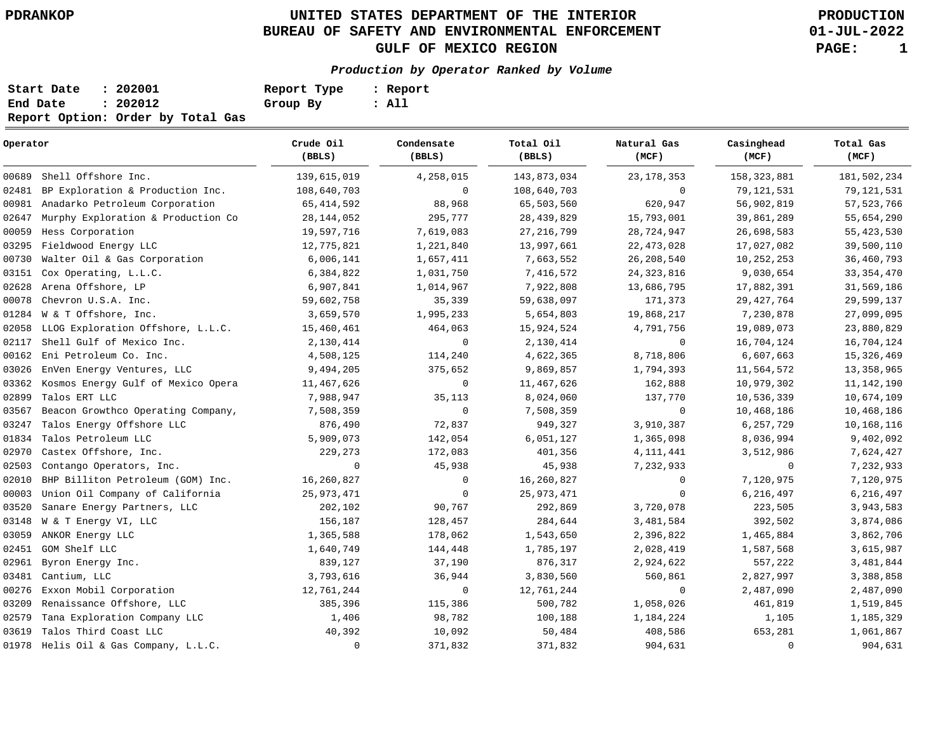# **UNITED STATES DEPARTMENT OF THE INTERIOR PDRANKOP PRODUCTION BUREAU OF SAFETY AND ENVIRONMENTAL ENFORCEMENT GULF OF MEXICO REGION PAGE: 1**

**01-JUL-2022**

## **Production by Operator Ranked by Volume**

| Start Date | : 202001                          | Report Type | : Report |
|------------|-----------------------------------|-------------|----------|
| End Date   | : 202012                          | Group By    | : All    |
|            | Report Option: Order by Total Gas |             |          |

| Operator |                                       | Crude Oil<br>(BBLS) | Condensate<br>(BBLS) | Total Oil<br>(BBLS) | Natural Gas<br>(MCF) | Casinghead<br>(MCF) | Total Gas<br>(MCF) |
|----------|---------------------------------------|---------------------|----------------------|---------------------|----------------------|---------------------|--------------------|
| 00689    | Shell Offshore Inc.                   | 139,615,019         | 4,258,015            | 143,873,034         | 23, 178, 353         | 158, 323, 881       | 181,502,234        |
| 02481    | BP Exploration & Production Inc.      | 108,640,703         | $\mathbf 0$          | 108,640,703         | $\mathbf 0$          | 79, 121, 531        | 79, 121, 531       |
| 00981    | Anadarko Petroleum Corporation        | 65, 414, 592        | 88,968               | 65,503,560          | 620,947              | 56,902,819          | 57, 523, 766       |
| 02647    | Murphy Exploration & Production Co    | 28, 144, 052        | 295,777              | 28, 439, 829        | 15,793,001           | 39,861,289          | 55,654,290         |
| 00059    | Hess Corporation                      | 19,597,716          | 7,619,083            | 27, 216, 799        | 28,724,947           | 26,698,583          | 55, 423, 530       |
| 03295    | Fieldwood Energy LLC                  | 12,775,821          | 1,221,840            | 13,997,661          | 22, 473, 028         | 17,027,082          | 39,500,110         |
| 00730    | Walter Oil & Gas Corporation          | 6,006,141           | 1,657,411            | 7,663,552           | 26, 208, 540         | 10,252,253          | 36,460,793         |
| 03151    | Cox Operating, L.L.C.                 | 6,384,822           | 1,031,750            | 7,416,572           | 24, 323, 816         | 9,030,654           | 33, 354, 470       |
| 02628    | Arena Offshore, LP                    | 6,907,841           | 1,014,967            | 7,922,808           | 13,686,795           | 17,882,391          | 31,569,186         |
| 00078    | Chevron U.S.A. Inc.                   | 59,602,758          | 35,339               | 59,638,097          | 171,373              | 29, 427, 764        | 29,599,137         |
| 01284    | W & T Offshore, Inc.                  | 3,659,570           | 1,995,233            | 5,654,803           | 19,868,217           | 7,230,878           | 27,099,095         |
| 02058    | LLOG Exploration Offshore, L.L.C.     | 15,460,461          | 464,063              | 15,924,524          | 4,791,756            | 19,089,073          | 23,880,829         |
| 02117    | Shell Gulf of Mexico Inc.             | 2,130,414           | $\mathbf 0$          | 2,130,414           | $\mathbf 0$          | 16,704,124          | 16,704,124         |
| 00162    | Eni Petroleum Co. Inc.                | 4,508,125           | 114,240              | 4,622,365           | 8,718,806            | 6,607,663           | 15,326,469         |
| 03026    | EnVen Energy Ventures, LLC            | 9,494,205           | 375,652              | 9,869,857           | 1,794,393            | 11,564,572          | 13, 358, 965       |
| 03362    | Kosmos Energy Gulf of Mexico Opera    | 11,467,626          | $\overline{0}$       | 11,467,626          | 162,888              | 10,979,302          | 11,142,190         |
| 02899    | Talos ERT LLC                         | 7,988,947           | 35,113               | 8,024,060           | 137,770              | 10,536,339          | 10,674,109         |
| 03567    | Beacon Growthco Operating Company,    | 7,508,359           | $\mathbf 0$          | 7,508,359           | $\mathbf 0$          | 10,468,186          | 10,468,186         |
| 03247    | Talos Energy Offshore LLC             | 876,490             | 72,837               | 949,327             | 3,910,387            | 6,257,729           | 10,168,116         |
| 01834    | Talos Petroleum LLC                   | 5,909,073           | 142,054              | 6,051,127           | 1,365,098            | 8,036,994           | 9,402,092          |
| 02970    | Castex Offshore, Inc.                 | 229,273             | 172,083              | 401,356             | 4, 111, 441          | 3,512,986           | 7,624,427          |
| 02503    | Contango Operators, Inc.              | $\mathbf 0$         | 45,938               | 45,938              | 7,232,933            | $\mathbf 0$         | 7,232,933          |
| 02010    | BHP Billiton Petroleum (GOM) Inc.     | 16,260,827          | 0                    | 16,260,827          | 0                    | 7,120,975           | 7,120,975          |
| 00003    | Union Oil Company of California       | 25, 973, 471        | 0                    | 25, 973, 471        | $\mathbf 0$          | 6,216,497           | 6,216,497          |
| 03520    | Sanare Energy Partners, LLC           | 202,102             | 90,767               | 292,869             | 3,720,078            | 223,505             | 3,943,583          |
| 03148    | W & T Energy VI, LLC                  | 156,187             | 128,457              | 284,644             | 3,481,584            | 392,502             | 3,874,086          |
| 03059    | ANKOR Energy LLC                      | 1,365,588           | 178,062              | 1,543,650           | 2,396,822            | 1,465,884           | 3,862,706          |
| 02451    | GOM Shelf LLC                         | 1,640,749           | 144,448              | 1,785,197           | 2,028,419            | 1,587,568           | 3,615,987          |
| 02961    | Byron Energy Inc.                     | 839,127             | 37,190               | 876,317             | 2,924,622            | 557,222             | 3,481,844          |
| 03481    | Cantium, LLC                          | 3,793,616           | 36,944               | 3,830,560           | 560,861              | 2,827,997           | 3,388,858          |
| 00276    | Exxon Mobil Corporation               | 12,761,244          | $\mathbf 0$          | 12,761,244          | 0                    | 2,487,090           | 2,487,090          |
| 03209    | Renaissance Offshore, LLC             | 385,396             | 115,386              | 500,782             | 1,058,026            | 461,819             | 1,519,845          |
| 02579    | Tana Exploration Company LLC          | 1,406               | 98,782               | 100,188             | 1,184,224            | 1,105               | 1,185,329          |
| 03619    | Talos Third Coast LLC                 | 40,392              | 10,092               | 50,484              | 408,586              | 653,281             | 1,061,867          |
|          | 01978 Helis Oil & Gas Company, L.L.C. | $\mathbf 0$         | 371,832              | 371,832             | 904,631              | $\mathbf 0$         | 904,631            |